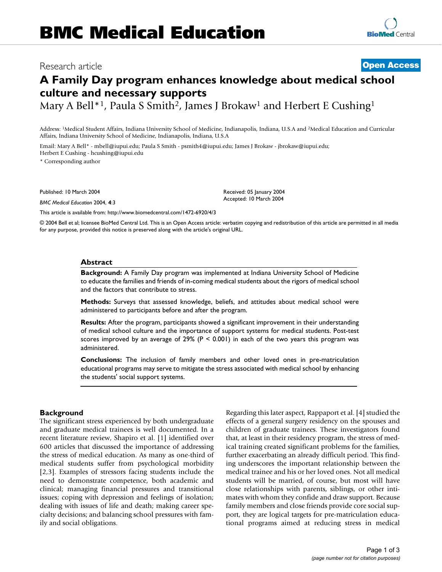# Research article **[Open Access](http://www.biomedcentral.com/info/about/charter/)**

# **A Family Day program enhances knowledge about medical school culture and necessary supports**

Mary A Bell<sup>\*1</sup>, Paula S Smith<sup>2</sup>, James J Brokaw<sup>1</sup> and Herbert E Cushing<sup>1</sup>

Address: 1Medical Student Affairs, Indiana University School of Medicine, Indianapolis, Indiana, U.S.A and 2Medical Education and Curricular Affairs, Indiana University School of Medicine, Indianapolis, Indiana, U.S.A

Email: Mary A Bell\* - mbell@iupui.edu; Paula S Smith - psmith4@iupui.edu; James J Brokaw - jbrokaw@iupui.edu; Herbert E Cushing - hcushing@iupui.edu

\* Corresponding author

Published: 10 March 2004

*BMC Medical Education* 2004, **4**:3

[This article is available from: http://www.biomedcentral.com/1472-6920/4/3](http://www.biomedcentral.com/1472-6920/4/3)

© 2004 Bell et al; licensee BioMed Central Ltd. This is an Open Access article: verbatim copying and redistribution of this article are permitted in all media for any purpose, provided this notice is preserved along with the article's original URL.

#### **Abstract**

**Background:** A Family Day program was implemented at Indiana University School of Medicine to educate the families and friends of in-coming medical students about the rigors of medical school and the factors that contribute to stress.

**Methods:** Surveys that assessed knowledge, beliefs, and attitudes about medical school were administered to participants before and after the program.

**Results:** After the program, participants showed a significant improvement in their understanding of medical school culture and the importance of support systems for medical students. Post-test scores improved by an average of  $29%$  (P < 0.001) in each of the two years this program was administered.

**Conclusions:** The inclusion of family members and other loved ones in pre-matriculation educational programs may serve to mitigate the stress associated with medical school by enhancing the students' social support systems.

#### **Background**

The significant stress experienced by both undergraduate and graduate medical trainees is well documented. In a recent literature review, Shapiro et al. [1] identified over 600 articles that discussed the importance of addressing the stress of medical education. As many as one-third of medical students suffer from psychological morbidity [2,3]. Examples of stressors facing students include the need to demonstrate competence, both academic and clinical; managing financial pressures and transitional issues; coping with depression and feelings of isolation; dealing with issues of life and death; making career specialty decisions; and balancing school pressures with family and social obligations.

Regarding this later aspect, Rappaport et al. [4] studied the effects of a general surgery residency on the spouses and children of graduate trainees. These investigators found that, at least in their residency program, the stress of medical training created significant problems for the families, further exacerbating an already difficult period. This finding underscores the important relationship between the medical trainee and his or her loved ones. Not all medical students will be married, of course, but most will have close relationships with parents, siblings, or other intimates with whom they confide and draw support. Because family members and close friends provide core social support, they are logical targets for pre-matriculation educational programs aimed at reducing stress in medical

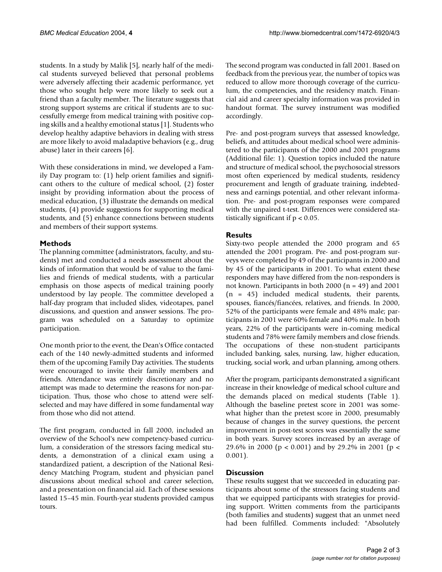students. In a study by Malik [5], nearly half of the medical students surveyed believed that personal problems were adversely affecting their academic performance, yet those who sought help were more likely to seek out a friend than a faculty member. The literature suggests that strong support systems are critical if students are to successfully emerge from medical training with positive coping skills and a healthy emotional status [1]. Students who develop healthy adaptive behaviors in dealing with stress are more likely to avoid maladaptive behaviors (e.g., drug abuse) later in their careers [6].

With these considerations in mind, we developed a Family Day program to: (1) help orient families and significant others to the culture of medical school, (2) foster insight by providing information about the process of medical education, (3) illustrate the demands on medical students, (4) provide suggestions for supporting medical students, and (5) enhance connections between students and members of their support systems.

#### **Methods**

The planning committee (administrators, faculty, and students) met and conducted a needs assessment about the kinds of information that would be of value to the families and friends of medical students, with a particular emphasis on those aspects of medical training poorly understood by lay people. The committee developed a half-day program that included slides, videotapes, panel discussions, and question and answer sessions. The program was scheduled on a Saturday to optimize participation.

One month prior to the event, the Dean's Office contacted each of the 140 newly-admitted students and informed them of the upcoming Family Day activities. The students were encouraged to invite their family members and friends. Attendance was entirely discretionary and no attempt was made to determine the reasons for non-participation. Thus, those who chose to attend were selfselected and may have differed in some fundamental way from those who did not attend.

The first program, conducted in fall 2000, included an overview of the School's new competency-based curriculum, a consideration of the stressors facing medical students, a demonstration of a clinical exam using a standardized patient, a description of the National Residency Matching Program, student and physician panel discussions about medical school and career selection, and a presentation on financial aid. Each of these sessions lasted 15–45 min. Fourth-year students provided campus tours.

The second program was conducted in fall 2001. Based on feedback from the previous year, the number of topics was reduced to allow more thorough coverage of the curriculum, the competencies, and the residency match. Financial aid and career specialty information was provided in handout format. The survey instrument was modified accordingly.

Pre- and post-program surveys that assessed knowledge, beliefs, and attitudes about medical school were administered to the participants of the 2000 and 2001 programs (Additional file: 1). Question topics included the nature and structure of medical school, the psychosocial stressors most often experienced by medical students, residency procurement and length of graduate training, indebtedness and earnings potential, and other relevant information. Pre- and post-program responses were compared with the unpaired t-test. Differences were considered statistically significant if  $p < 0.05$ .

#### **Results**

Sixty-two people attended the 2000 program and 65 attended the 2001 program. Pre- and post-program surveys were completed by 49 of the participants in 2000 and by 45 of the participants in 2001. To what extent these responders may have differed from the non-responders is not known. Participants in both 2000 (n = 49) and 2001 (n = 45) included medical students, their parents, spouses, fiancés/fiancées, relatives, and friends. In 2000, 52% of the participants were female and 48% male; participants in 2001 were 60% female and 40% male. In both years, 22% of the participants were in-coming medical students and 78% were family members and close friends. The occupations of these non-student participants included banking, sales, nursing, law, higher education, trucking, social work, and urban planning, among others.

After the program, participants demonstrated a significant increase in their knowledge of medical school culture and the demands placed on medical students (Table [1\)](#page-2-0). Although the baseline pretest score in 2001 was somewhat higher than the pretest score in 2000, presumably because of changes in the survey questions, the percent improvement in post-test scores was essentially the same in both years. Survey scores increased by an average of 29.6% in 2000 (p < 0.001) and by 29.2% in 2001 (p < 0.001).

#### **Discussion**

These results suggest that we succeeded in educating participants about some of the stressors facing students and that we equipped participants with strategies for providing support. Written comments from the participants (both families and students) suggest that an unmet need had been fulfilled. Comments included: "Absolutely